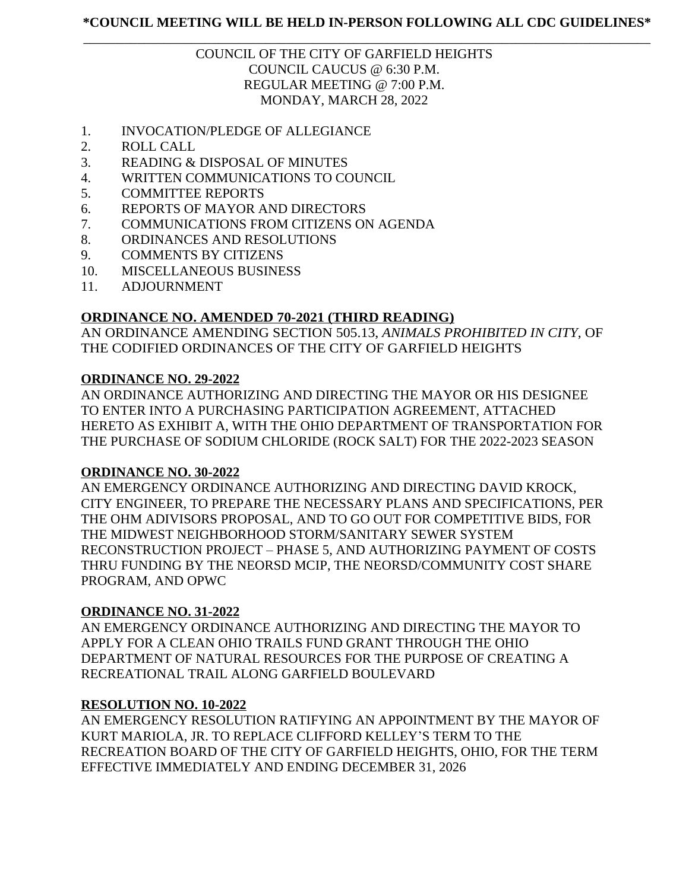# \_\_\_\_\_\_\_\_\_\_\_\_\_\_\_\_\_\_\_\_\_\_\_\_\_\_\_\_\_\_\_\_\_\_\_\_\_\_\_\_\_\_\_\_\_\_\_\_\_\_\_\_\_\_\_\_\_\_\_\_\_\_\_\_\_\_\_\_\_\_\_\_\_\_\_\_\_\_\_\_\_\_\_\_ COUNCIL OF THE CITY OF GARFIELD HEIGHTS COUNCIL CAUCUS @ 6:30 P.M. REGULAR MEETING @ 7:00 P.M. MONDAY, MARCH 28, 2022

- 1. INVOCATION/PLEDGE OF ALLEGIANCE
- 2. ROLL CALL
- 3. READING & DISPOSAL OF MINUTES
- 4. WRITTEN COMMUNICATIONS TO COUNCIL
- 5. COMMITTEE REPORTS
- 6. REPORTS OF MAYOR AND DIRECTORS
- 7. COMMUNICATIONS FROM CITIZENS ON AGENDA
- 8. ORDINANCES AND RESOLUTIONS
- 9. COMMENTS BY CITIZENS
- 10. MISCELLANEOUS BUSINESS
- 11. ADJOURNMENT

# **ORDINANCE NO. AMENDED 70-2021 (THIRD READING)**

AN ORDINANCE AMENDING SECTION 505.13, *ANIMALS PROHIBITED IN CITY*, OF THE CODIFIED ORDINANCES OF THE CITY OF GARFIELD HEIGHTS

# **ORDINANCE NO. 29-2022**

AN ORDINANCE AUTHORIZING AND DIRECTING THE MAYOR OR HIS DESIGNEE TO ENTER INTO A PURCHASING PARTICIPATION AGREEMENT, ATTACHED HERETO AS EXHIBIT A, WITH THE OHIO DEPARTMENT OF TRANSPORTATION FOR THE PURCHASE OF SODIUM CHLORIDE (ROCK SALT) FOR THE 2022-2023 SEASON

### **ORDINANCE NO. 30-2022**

AN EMERGENCY ORDINANCE AUTHORIZING AND DIRECTING DAVID KROCK, CITY ENGINEER, TO PREPARE THE NECESSARY PLANS AND SPECIFICATIONS, PER THE OHM ADIVISORS PROPOSAL, AND TO GO OUT FOR COMPETITIVE BIDS, FOR THE MIDWEST NEIGHBORHOOD STORM/SANITARY SEWER SYSTEM RECONSTRUCTION PROJECT – PHASE 5, AND AUTHORIZING PAYMENT OF COSTS THRU FUNDING BY THE NEORSD MCIP, THE NEORSD/COMMUNITY COST SHARE PROGRAM, AND OPWC

# **ORDINANCE NO. 31-2022**

AN EMERGENCY ORDINANCE AUTHORIZING AND DIRECTING THE MAYOR TO APPLY FOR A CLEAN OHIO TRAILS FUND GRANT THROUGH THE OHIO DEPARTMENT OF NATURAL RESOURCES FOR THE PURPOSE OF CREATING A RECREATIONAL TRAIL ALONG GARFIELD BOULEVARD

### **RESOLUTION NO. 10-2022**

AN EMERGENCY RESOLUTION RATIFYING AN APPOINTMENT BY THE MAYOR OF KURT MARIOLA, JR. TO REPLACE CLIFFORD KELLEY'S TERM TO THE RECREATION BOARD OF THE CITY OF GARFIELD HEIGHTS, OHIO, FOR THE TERM EFFECTIVE IMMEDIATELY AND ENDING DECEMBER 31, 2026